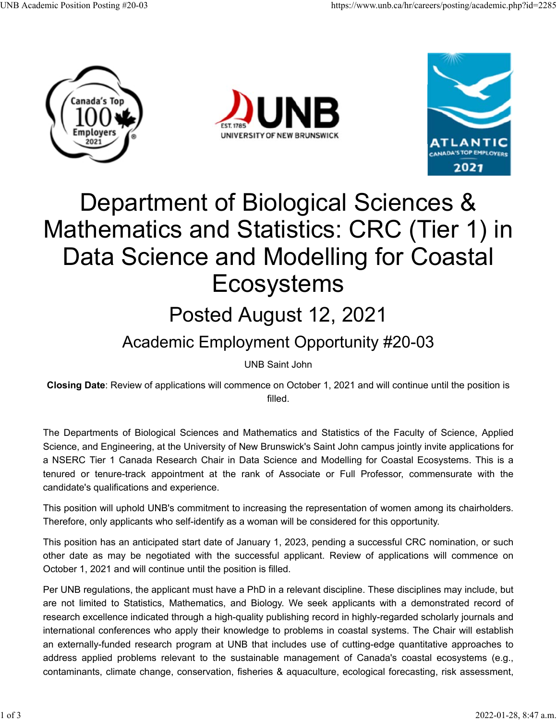





## Department of Biological Sciences & Mathematics and Statistics: CRC (Tier 1) in Data Science and Modelling for Coastal Ecosystems

## Posted August 12, 2021

## Academic Employment Opportunity #20-03

UNB Saint John

**Closing Date**: Review of applications will commence on October 1, 2021 and will continue until the position is filled.

The Departments of Biological Sciences and Mathematics and Statistics of the Faculty of Science, Applied Science, and Engineering, at the University of New Brunswick's Saint John campus jointly invite applications for a NSERC Tier 1 Canada Research Chair in Data Science and Modelling for Coastal Ecosystems. This is a tenured or tenure-track appointment at the rank of Associate or Full Professor, commensurate with the candidate's qualifications and experience.

This position will uphold UNB's commitment to increasing the representation of women among its chairholders. Therefore, only applicants who self-identify as a woman will be considered for this opportunity.

This position has an anticipated start date of January 1, 2023, pending a successful CRC nomination, or such other date as may be negotiated with the successful applicant. Review of applications will commence on October 1, 2021 and will continue until the position is filled.

Per UNB regulations, the applicant must have a PhD in a relevant discipline. These disciplines may include, but are not limited to Statistics, Mathematics, and Biology. We seek applicants with a demonstrated record of research excellence indicated through a high-quality publishing record in highly-regarded scholarly journals and international conferences who apply their knowledge to problems in coastal systems. The Chair will establish an externally-funded research program at UNB that includes use of cutting-edge quantitative approaches to address applied problems relevant to the sustainable management of Canada's coastal ecosystems (e.g., contaminants, climate change, conservation, fisheries & aquaculture, ecological forecasting, risk assessment,